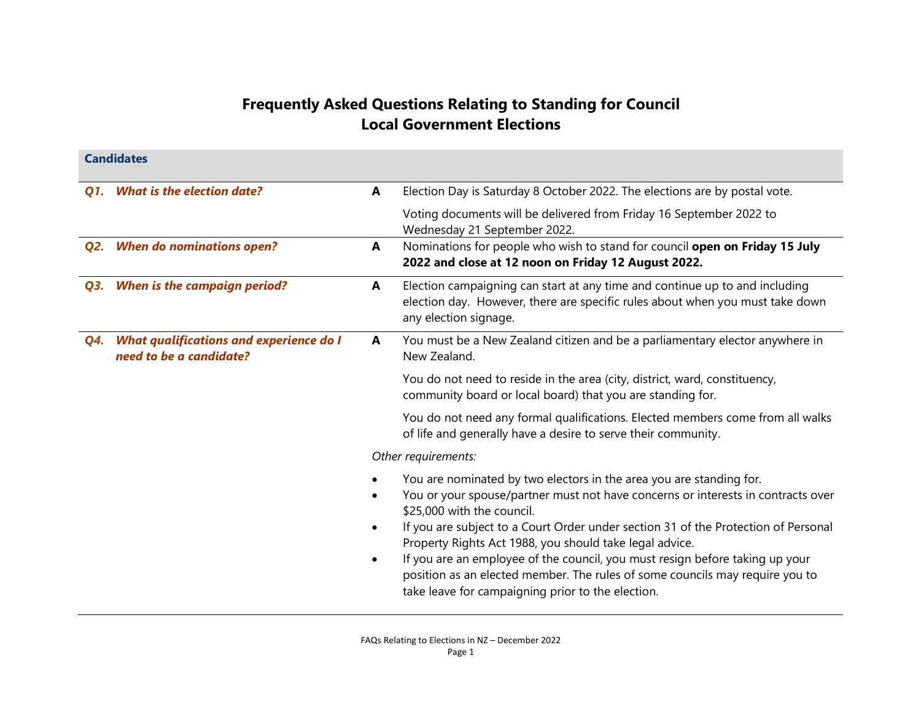## Frequently Asked Questions Relating to Standing for Council Local Government Elections

|     | <b>Candidates</b>                                                  |           |                                                                                                                                                                                                                                                                                                                                                                                                                                                                                                                                                             |  |  |
|-----|--------------------------------------------------------------------|-----------|-------------------------------------------------------------------------------------------------------------------------------------------------------------------------------------------------------------------------------------------------------------------------------------------------------------------------------------------------------------------------------------------------------------------------------------------------------------------------------------------------------------------------------------------------------------|--|--|
| Q1. | <b>What is the election date?</b>                                  | A         | Election Day is Saturday 8 October 2022. The elections are by postal vote.                                                                                                                                                                                                                                                                                                                                                                                                                                                                                  |  |  |
|     |                                                                    |           | Voting documents will be delivered from Friday 16 September 2022 to<br>Wednesday 21 September 2022.                                                                                                                                                                                                                                                                                                                                                                                                                                                         |  |  |
|     | Q2. When do nominations open?                                      | A         | Nominations for people who wish to stand for council open on Friday 15 July<br>2022 and close at 12 noon on Friday 12 August 2022.                                                                                                                                                                                                                                                                                                                                                                                                                          |  |  |
| Q3. | <b>When is the campaign period?</b>                                | A         | Election campaigning can start at any time and continue up to and including<br>election day. However, there are specific rules about when you must take down<br>any election signage.                                                                                                                                                                                                                                                                                                                                                                       |  |  |
| Q4. | What qualifications and experience do I<br>need to be a candidate? | A         | You must be a New Zealand citizen and be a parliamentary elector anywhere in<br>New Zealand.                                                                                                                                                                                                                                                                                                                                                                                                                                                                |  |  |
|     |                                                                    |           | You do not need to reside in the area (city, district, ward, constituency,<br>community board or local board) that you are standing for.                                                                                                                                                                                                                                                                                                                                                                                                                    |  |  |
|     |                                                                    |           | You do not need any formal qualifications. Elected members come from all walks<br>of life and generally have a desire to serve their community.                                                                                                                                                                                                                                                                                                                                                                                                             |  |  |
|     |                                                                    |           | Other requirements:                                                                                                                                                                                                                                                                                                                                                                                                                                                                                                                                         |  |  |
|     |                                                                    | $\bullet$ | You are nominated by two electors in the area you are standing for.<br>You or your spouse/partner must not have concerns or interests in contracts over<br>\$25,000 with the council.<br>If you are subject to a Court Order under section 31 of the Protection of Personal<br>Property Rights Act 1988, you should take legal advice.<br>If you are an employee of the council, you must resign before taking up your<br>position as an elected member. The rules of some councils may require you to<br>take leave for campaigning prior to the election. |  |  |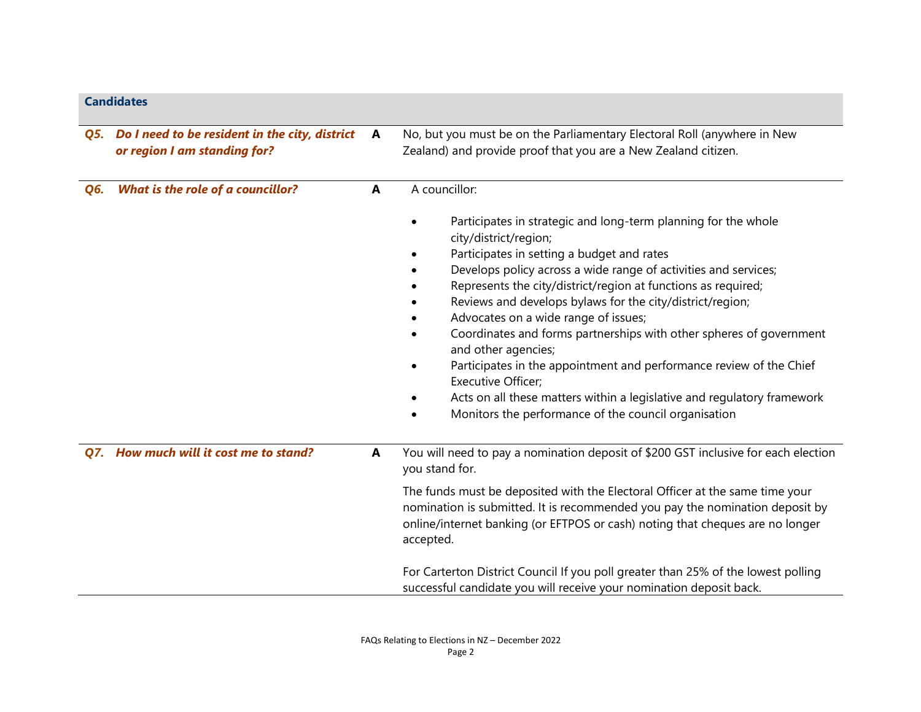|     | <b>Candidates</b>                                                                  |              |                                                                                                                                                                                                                                                                                                                                                                                                                                                                                               |  |
|-----|------------------------------------------------------------------------------------|--------------|-----------------------------------------------------------------------------------------------------------------------------------------------------------------------------------------------------------------------------------------------------------------------------------------------------------------------------------------------------------------------------------------------------------------------------------------------------------------------------------------------|--|
|     | Q5. Do I need to be resident in the city, district<br>or region I am standing for? | A            | No, but you must be on the Parliamentary Electoral Roll (anywhere in New<br>Zealand) and provide proof that you are a New Zealand citizen.                                                                                                                                                                                                                                                                                                                                                    |  |
| Q6. | <b>What is the role of a councillor?</b>                                           | A            | A councillor:<br>Participates in strategic and long-term planning for the whole<br>city/district/region;<br>Participates in setting a budget and rates<br>Develops policy across a wide range of activities and services;<br>Represents the city/district/region at functions as required;<br>Reviews and develops bylaws for the city/district/region;<br>Advocates on a wide range of issues;<br>Coordinates and forms partnerships with other spheres of government<br>and other agencies; |  |
|     |                                                                                    |              | Participates in the appointment and performance review of the Chief<br>$\bullet$<br>Executive Officer;<br>Acts on all these matters within a legislative and regulatory framework<br>Monitors the performance of the council organisation                                                                                                                                                                                                                                                     |  |
|     | Q7. How much will it cost me to stand?                                             | $\mathbf{A}$ | You will need to pay a nomination deposit of \$200 GST inclusive for each election<br>you stand for.                                                                                                                                                                                                                                                                                                                                                                                          |  |
|     |                                                                                    |              | The funds must be deposited with the Electoral Officer at the same time your<br>nomination is submitted. It is recommended you pay the nomination deposit by<br>online/internet banking (or EFTPOS or cash) noting that cheques are no longer<br>accepted.                                                                                                                                                                                                                                    |  |
|     |                                                                                    |              | For Carterton District Council If you poll greater than 25% of the lowest polling<br>successful candidate you will receive your nomination deposit back.                                                                                                                                                                                                                                                                                                                                      |  |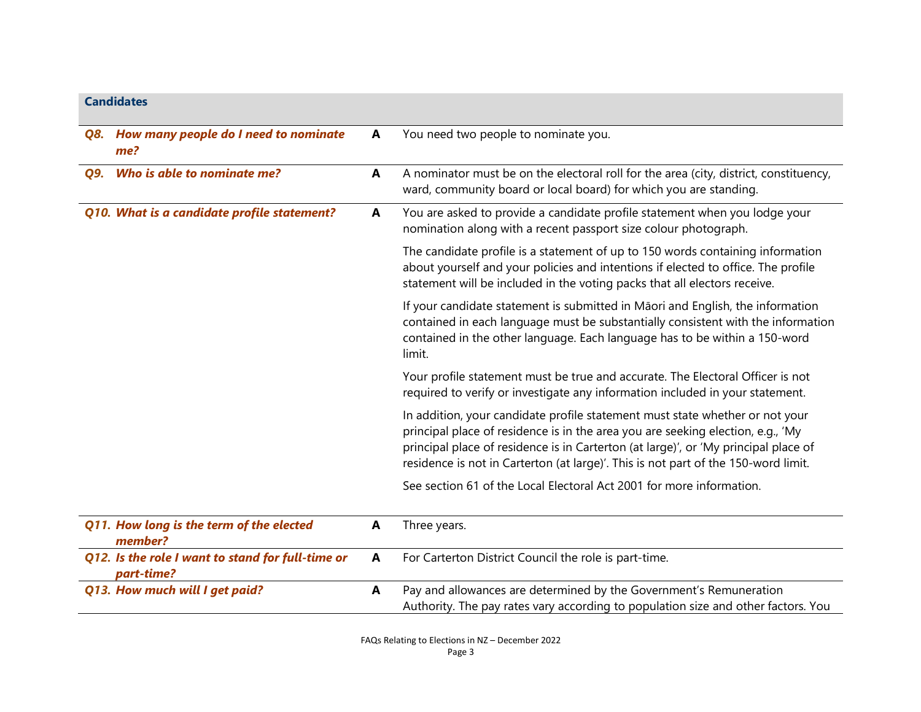## **Candidates**

|     | Q8. How many people do I need to nominate<br>me?                | A | You need two people to nominate you.                                                                                                                                                                                                                                                                                                         |
|-----|-----------------------------------------------------------------|---|----------------------------------------------------------------------------------------------------------------------------------------------------------------------------------------------------------------------------------------------------------------------------------------------------------------------------------------------|
| Q9. | Who is able to nominate me?                                     | A | A nominator must be on the electoral roll for the area (city, district, constituency,<br>ward, community board or local board) for which you are standing.                                                                                                                                                                                   |
|     | Q10. What is a candidate profile statement?                     | A | You are asked to provide a candidate profile statement when you lodge your<br>nomination along with a recent passport size colour photograph.                                                                                                                                                                                                |
|     |                                                                 |   | The candidate profile is a statement of up to 150 words containing information<br>about yourself and your policies and intentions if elected to office. The profile<br>statement will be included in the voting packs that all electors receive.                                                                                             |
|     |                                                                 |   | If your candidate statement is submitted in Māori and English, the information<br>contained in each language must be substantially consistent with the information<br>contained in the other language. Each language has to be within a 150-word<br>limit.                                                                                   |
|     |                                                                 |   | Your profile statement must be true and accurate. The Electoral Officer is not<br>required to verify or investigate any information included in your statement.                                                                                                                                                                              |
|     |                                                                 |   | In addition, your candidate profile statement must state whether or not your<br>principal place of residence is in the area you are seeking election, e.g., 'My<br>principal place of residence is in Carterton (at large)', or 'My principal place of<br>residence is not in Carterton (at large)'. This is not part of the 150-word limit. |
|     |                                                                 |   | See section 61 of the Local Electoral Act 2001 for more information.                                                                                                                                                                                                                                                                         |
|     | Q11. How long is the term of the elected<br>member?             | A | Three years.                                                                                                                                                                                                                                                                                                                                 |
|     | Q12. Is the role I want to stand for full-time or<br>part-time? | A | For Carterton District Council the role is part-time.                                                                                                                                                                                                                                                                                        |
|     | Q13. How much will I get paid?                                  | A | Pay and allowances are determined by the Government's Remuneration<br>Authority. The pay rates vary according to population size and other factors. You                                                                                                                                                                                      |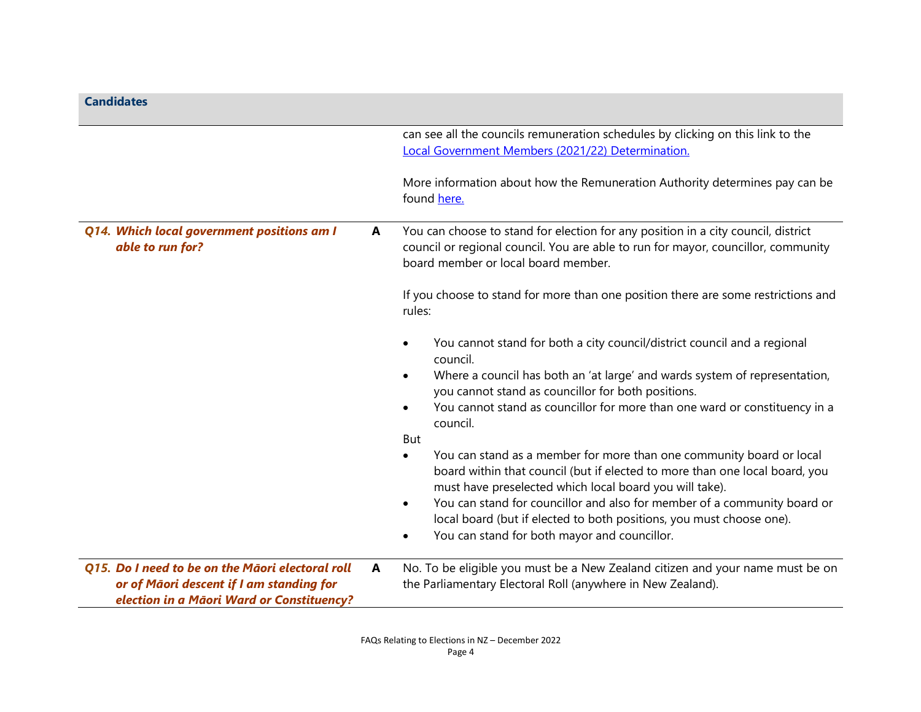| <b>Candidates</b>                                                                                                                         |   |                                                                                                                                                                                                                             |
|-------------------------------------------------------------------------------------------------------------------------------------------|---|-----------------------------------------------------------------------------------------------------------------------------------------------------------------------------------------------------------------------------|
|                                                                                                                                           |   | can see all the councils remuneration schedules by clicking on this link to the<br>Local Government Members (2021/22) Determination.                                                                                        |
|                                                                                                                                           |   | More information about how the Remuneration Authority determines pay can be<br>found here.                                                                                                                                  |
| Q14. Which local government positions am I<br>able to run for?                                                                            | A | You can choose to stand for election for any position in a city council, district<br>council or regional council. You are able to run for mayor, councillor, community<br>board member or local board member.               |
|                                                                                                                                           |   | If you choose to stand for more than one position there are some restrictions and<br>rules:                                                                                                                                 |
|                                                                                                                                           |   | You cannot stand for both a city council/district council and a regional<br>council.                                                                                                                                        |
|                                                                                                                                           |   | Where a council has both an 'at large' and wards system of representation,<br>you cannot stand as councillor for both positions.                                                                                            |
|                                                                                                                                           |   | You cannot stand as councillor for more than one ward or constituency in a<br>council.<br>But                                                                                                                               |
|                                                                                                                                           |   | You can stand as a member for more than one community board or local<br>$\bullet$<br>board within that council (but if elected to more than one local board, you<br>must have preselected which local board you will take). |
|                                                                                                                                           |   | You can stand for councillor and also for member of a community board or<br>$\bullet$<br>local board (but if elected to both positions, you must choose one).<br>You can stand for both mayor and councillor.<br>٠          |
| Q15. Do I need to be on the Māori electoral roll<br>or of Māori descent if I am standing for<br>election in a Māori Ward or Constituency? | A | No. To be eligible you must be a New Zealand citizen and your name must be on<br>the Parliamentary Electoral Roll (anywhere in New Zealand).                                                                                |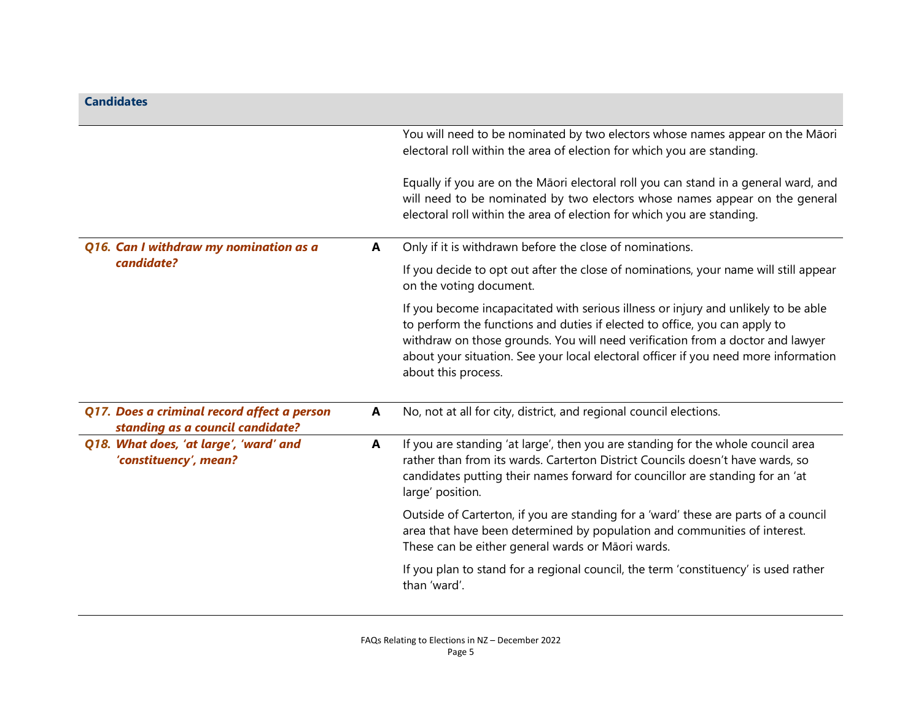| <b>Candidates</b>                                                               |              |                                                                                                                                                                                                                                                                                                                                                                  |
|---------------------------------------------------------------------------------|--------------|------------------------------------------------------------------------------------------------------------------------------------------------------------------------------------------------------------------------------------------------------------------------------------------------------------------------------------------------------------------|
|                                                                                 |              | You will need to be nominated by two electors whose names appear on the Māori<br>electoral roll within the area of election for which you are standing.                                                                                                                                                                                                          |
|                                                                                 |              | Equally if you are on the Māori electoral roll you can stand in a general ward, and<br>will need to be nominated by two electors whose names appear on the general<br>electoral roll within the area of election for which you are standing.                                                                                                                     |
| Q16. Can I withdraw my nomination as a                                          | $\mathbf{A}$ | Only if it is withdrawn before the close of nominations.                                                                                                                                                                                                                                                                                                         |
| candidate?                                                                      |              | If you decide to opt out after the close of nominations, your name will still appear<br>on the voting document.                                                                                                                                                                                                                                                  |
|                                                                                 |              | If you become incapacitated with serious illness or injury and unlikely to be able<br>to perform the functions and duties if elected to office, you can apply to<br>withdraw on those grounds. You will need verification from a doctor and lawyer<br>about your situation. See your local electoral officer if you need more information<br>about this process. |
| Q17. Does a criminal record affect a person<br>standing as a council candidate? | $\mathbf{A}$ | No, not at all for city, district, and regional council elections.                                                                                                                                                                                                                                                                                               |
| Q18. What does, 'at large', 'ward' and<br>'constituency', mean?                 | A            | If you are standing 'at large', then you are standing for the whole council area<br>rather than from its wards. Carterton District Councils doesn't have wards, so<br>candidates putting their names forward for councillor are standing for an 'at<br>large' position.                                                                                          |
|                                                                                 |              | Outside of Carterton, if you are standing for a 'ward' these are parts of a council<br>area that have been determined by population and communities of interest.<br>These can be either general wards or Māori wards.                                                                                                                                            |
|                                                                                 |              | If you plan to stand for a regional council, the term 'constituency' is used rather<br>than 'ward'.                                                                                                                                                                                                                                                              |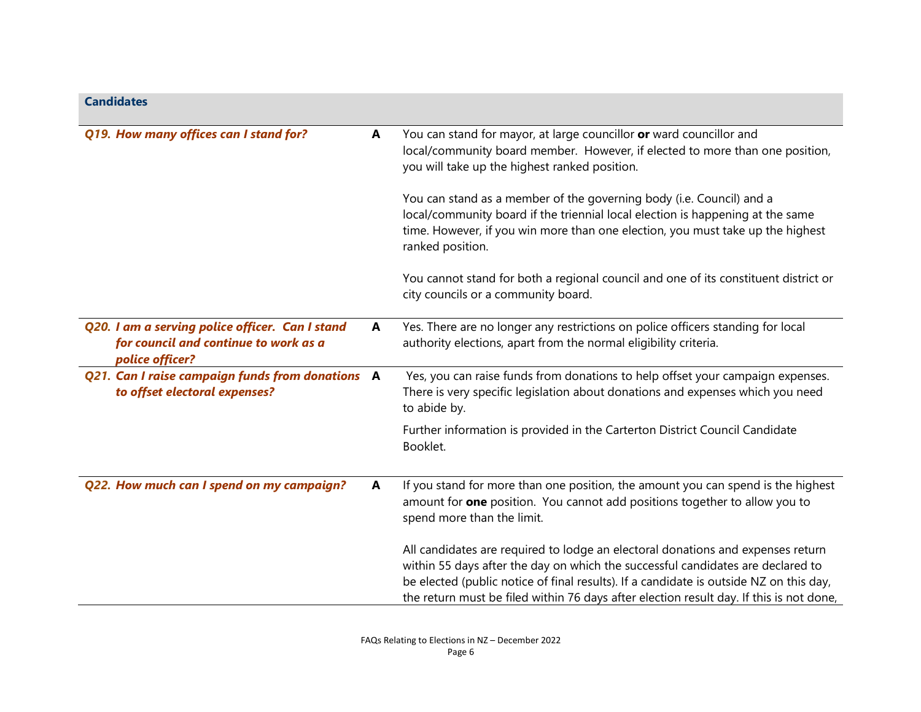| <b>Candidates</b>                                                                                           |   |                                                                                                                                                                                                                                                                                                                                                         |
|-------------------------------------------------------------------------------------------------------------|---|---------------------------------------------------------------------------------------------------------------------------------------------------------------------------------------------------------------------------------------------------------------------------------------------------------------------------------------------------------|
| Q19. How many offices can I stand for?                                                                      | A | You can stand for mayor, at large councillor or ward councillor and<br>local/community board member. However, if elected to more than one position,<br>you will take up the highest ranked position.                                                                                                                                                    |
|                                                                                                             |   | You can stand as a member of the governing body (i.e. Council) and a<br>local/community board if the triennial local election is happening at the same<br>time. However, if you win more than one election, you must take up the highest<br>ranked position.                                                                                            |
|                                                                                                             |   | You cannot stand for both a regional council and one of its constituent district or<br>city councils or a community board.                                                                                                                                                                                                                              |
| Q20. I am a serving police officer. Can I stand<br>for council and continue to work as a<br>police officer? | A | Yes. There are no longer any restrictions on police officers standing for local<br>authority elections, apart from the normal eligibility criteria.                                                                                                                                                                                                     |
| Q21. Can I raise campaign funds from donations A<br>to offset electoral expenses?                           |   | Yes, you can raise funds from donations to help offset your campaign expenses.<br>There is very specific legislation about donations and expenses which you need<br>to abide by.                                                                                                                                                                        |
|                                                                                                             |   | Further information is provided in the Carterton District Council Candidate<br>Booklet.                                                                                                                                                                                                                                                                 |
| Q22. How much can I spend on my campaign?                                                                   | A | If you stand for more than one position, the amount you can spend is the highest<br>amount for one position. You cannot add positions together to allow you to<br>spend more than the limit.                                                                                                                                                            |
|                                                                                                             |   | All candidates are required to lodge an electoral donations and expenses return<br>within 55 days after the day on which the successful candidates are declared to<br>be elected (public notice of final results). If a candidate is outside NZ on this day,<br>the return must be filed within 76 days after election result day. If this is not done, |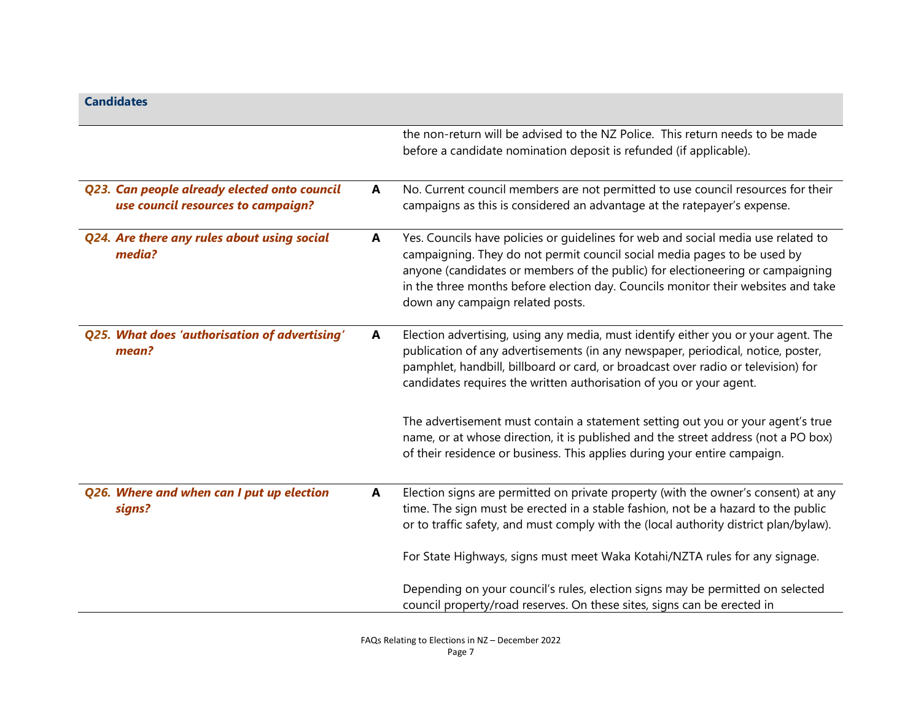| <b>Candidates</b>                                                                  |   |                                                                                                                                                                                                                                                                                                                                                                          |
|------------------------------------------------------------------------------------|---|--------------------------------------------------------------------------------------------------------------------------------------------------------------------------------------------------------------------------------------------------------------------------------------------------------------------------------------------------------------------------|
|                                                                                    |   | the non-return will be advised to the NZ Police. This return needs to be made<br>before a candidate nomination deposit is refunded (if applicable).                                                                                                                                                                                                                      |
| Q23. Can people already elected onto council<br>use council resources to campaign? | A | No. Current council members are not permitted to use council resources for their<br>campaigns as this is considered an advantage at the ratepayer's expense.                                                                                                                                                                                                             |
| Q24. Are there any rules about using social<br>media?                              | A | Yes. Councils have policies or guidelines for web and social media use related to<br>campaigning. They do not permit council social media pages to be used by<br>anyone (candidates or members of the public) for electioneering or campaigning<br>in the three months before election day. Councils monitor their websites and take<br>down any campaign related posts. |
| Q25. What does 'authorisation of advertising'<br>mean?                             | A | Election advertising, using any media, must identify either you or your agent. The<br>publication of any advertisements (in any newspaper, periodical, notice, poster,<br>pamphlet, handbill, billboard or card, or broadcast over radio or television) for<br>candidates requires the written authorisation of you or your agent.                                       |
|                                                                                    |   | The advertisement must contain a statement setting out you or your agent's true<br>name, or at whose direction, it is published and the street address (not a PO box)<br>of their residence or business. This applies during your entire campaign.                                                                                                                       |
| Q26. Where and when can I put up election<br>signs?                                | A | Election signs are permitted on private property (with the owner's consent) at any<br>time. The sign must be erected in a stable fashion, not be a hazard to the public<br>or to traffic safety, and must comply with the (local authority district plan/bylaw).                                                                                                         |
|                                                                                    |   | For State Highways, signs must meet Waka Kotahi/NZTA rules for any signage.                                                                                                                                                                                                                                                                                              |
|                                                                                    |   | Depending on your council's rules, election signs may be permitted on selected<br>council property/road reserves. On these sites, signs can be erected in                                                                                                                                                                                                                |